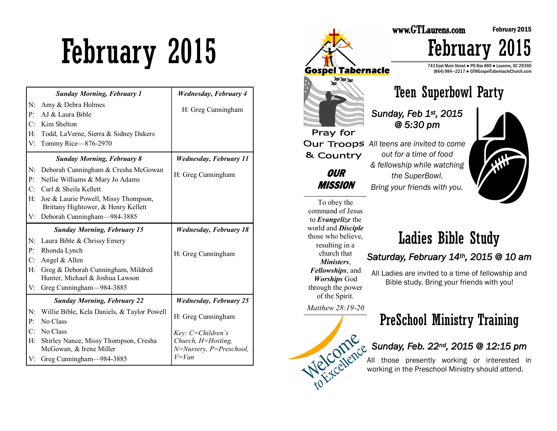# February 2015

|                      | <b>Sunday Morning, February 1</b>                                           | <b>Wednesday, February 4</b>                  |
|----------------------|-----------------------------------------------------------------------------|-----------------------------------------------|
| N:<br>P <sub>1</sub> | Amy & Debra Holmes<br>AJ & Laura Bible                                      | H: Greg Cunningham                            |
| C:                   | Kim Shelton                                                                 |                                               |
| H:                   | Todd, LaVerne, Sierra & Sidney Dakers                                       |                                               |
| V:                   | Tommy Rice-876-2970                                                         |                                               |
|                      | <b>Sunday Morning, February 8</b>                                           | <b>Wednesday, February 11</b>                 |
| N:<br>P:             | Deborah Cunningham & Cresha McGowan<br>Nellie Williams & Mary Jo Adams      | H: Greg Cunningham                            |
| $C^{\cdot}$          | Carl & Sheila Kellett                                                       |                                               |
| H:                   | Joe & Laurie Powell, Missy Thompson,<br>Brittany Hightower, & Henry Kellett |                                               |
| V:                   | Deborah Cunningham—984-3885                                                 |                                               |
|                      | <b>Sunday Morning, February 15</b>                                          | <b>Wednesday, February 18</b>                 |
| N:                   | Laura Bible & Chrissy Emery                                                 |                                               |
| P:                   | Rhonda Lynch                                                                | H: Greg Cunningham                            |
| C:                   | Angel & Allen                                                               |                                               |
| H:                   | Greg & Deborah Cunningham, Mildred<br>Hunter, Michael & Joshua Lawson       |                                               |
| V:                   | Greg Cunningham-984-3885                                                    |                                               |
|                      | <b>Sunday Morning, February 22</b>                                          | <b>Wednesday, February 25</b>                 |
| N:                   | Willie Bible, Kela Daniels, & Taylor Powell                                 |                                               |
| P:                   | No Class                                                                    | H: Greg Cunningham                            |
| C:                   | No Class                                                                    | Key: C=Children's                             |
| H <sub>2</sub>       | Shirley Nance, Missy Thompson, Cresha<br>McGowan, & Irene Miller            | Church, H=Hosting,<br>N=Nursery, P=Preschool, |
| V:                   | Greg Cunningham-984-3885                                                    | $V = Van$                                     |